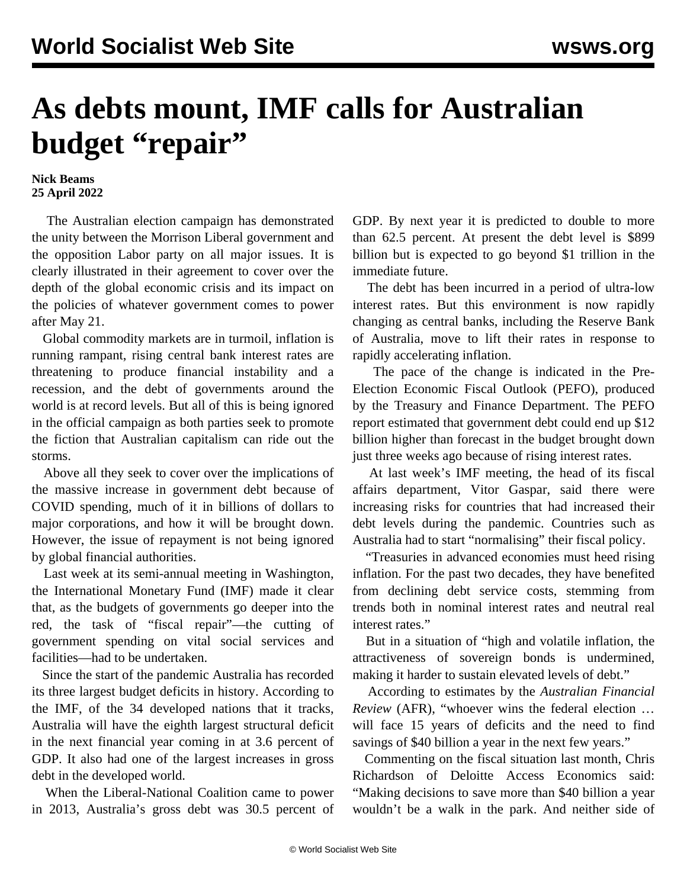## **As debts mount, IMF calls for Australian budget "repair"**

## **Nick Beams 25 April 2022**

 The Australian election campaign has demonstrated the unity between the Morrison Liberal government and the opposition Labor party on all major issues. It is clearly illustrated in their agreement to cover over the depth of the global economic crisis and its impact on the policies of whatever government comes to power after May 21.

 Global commodity markets are in turmoil, inflation is running rampant, rising central bank interest rates are threatening to produce financial instability and a recession, and the debt of governments around the world is at record levels. But all of this is being ignored in the official campaign as both parties seek to promote the fiction that Australian capitalism can ride out the storms.

 Above all they seek to cover over the implications of the massive increase in government debt because of COVID spending, much of it in billions of dollars to major corporations, and how it will be brought down. However, the issue of repayment is not being ignored by global financial authorities.

 Last week at its semi-annual meeting in Washington, the International Monetary Fund (IMF) made it clear that, as the budgets of governments go deeper into the red, the task of "fiscal repair"—the cutting of government spending on vital social services and facilities—had to be undertaken.

 Since the start of the pandemic Australia has recorded its three largest budget deficits in history. According to the IMF, of the 34 developed nations that it tracks, Australia will have the eighth largest structural deficit in the next financial year coming in at 3.6 percent of GDP. It also had one of the largest increases in gross debt in the developed world.

 When the Liberal-National Coalition came to power in 2013, Australia's gross debt was 30.5 percent of GDP. By next year it is predicted to double to more than 62.5 percent. At present the debt level is \$899 billion but is expected to go beyond \$1 trillion in the immediate future.

 The debt has been incurred in a period of ultra-low interest rates. But this environment is now rapidly changing as central banks, including the Reserve Bank of Australia, move to lift their rates in response to rapidly accelerating inflation.

 The pace of the change is indicated in the Pre-Election Economic Fiscal Outlook (PEFO), produced by the Treasury and Finance Department. The PEFO report estimated that government debt could end up \$12 billion higher than forecast in the budget brought down just three weeks ago because of rising interest rates.

 At last week's IMF meeting, the head of its fiscal affairs department, Vitor Gaspar, said there were increasing risks for countries that had increased their debt levels during the pandemic. Countries such as Australia had to start "normalising" their fiscal policy.

 "Treasuries in advanced economies must heed rising inflation. For the past two decades, they have benefited from declining debt service costs, stemming from trends both in nominal interest rates and neutral real interest rates."

 But in a situation of "high and volatile inflation, the attractiveness of sovereign bonds is undermined, making it harder to sustain elevated levels of debt."

 According to estimates by the *Australian Financial Review* (AFR), "whoever wins the federal election … will face 15 years of deficits and the need to find savings of \$40 billion a year in the next few years."

 Commenting on the fiscal situation last month, Chris Richardson of Deloitte Access Economics said: "Making decisions to save more than \$40 billion a year wouldn't be a walk in the park. And neither side of